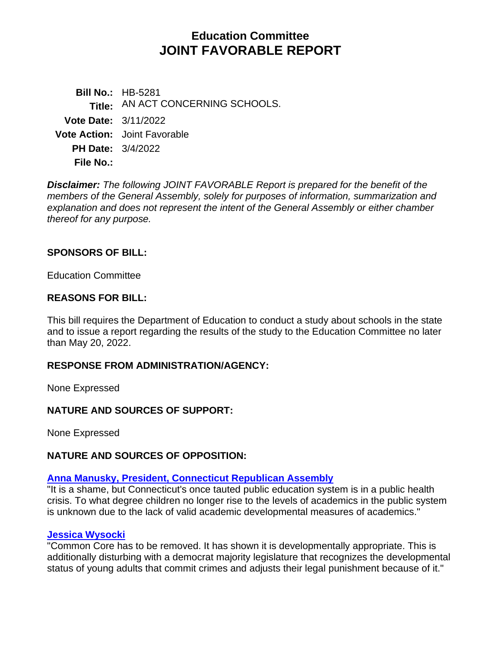# **Education Committee JOINT FAVORABLE REPORT**

**Bill No.:** HB-5281 Title: AN ACT CONCERNING SCHOOLS. **Vote Date:** 3/11/2022 **Vote Action:** Joint Favorable **PH Date:** 3/4/2022 **File No.:**

*Disclaimer: The following JOINT FAVORABLE Report is prepared for the benefit of the members of the General Assembly, solely for purposes of information, summarization and explanation and does not represent the intent of the General Assembly or either chamber thereof for any purpose.*

## **SPONSORS OF BILL:**

Education Committee

### **REASONS FOR BILL:**

This bill requires the Department of Education to conduct a study about schools in the state and to issue a report regarding the results of the study to the Education Committee no later than May 20, 2022.

### **RESPONSE FROM ADMINISTRATION/AGENCY:**

None Expressed

### **NATURE AND SOURCES OF SUPPORT:**

None Expressed

### **NATURE AND SOURCES OF OPPOSITION:**

## **[Anna Manusky, President, Connecticut Republican Assembly](https://www.cga.ct.gov/2022/eddata/tmy/2022HB-05281-R000304-Manusky,%20Anne,%20President-CT%20Republican%20Assembly-TMY.PDF)**

"It is a shame, but Connecticut's once tauted public education system is in a public health crisis. To what degree children no longer rise to the levels of academics in the public system is unknown due to the lack of valid academic developmental measures of academics."

#### **[Jessica Wysocki](https://www.cga.ct.gov/2022/eddata/tmy/2022HB-05281-R000304-Wysocki,%20Jessica-TMY.PDF)**

"Common Core has to be removed. It has shown it is developmentally appropriate. This is additionally disturbing with a democrat majority legislature that recognizes the developmental status of young adults that commit crimes and adjusts their legal punishment because of it."